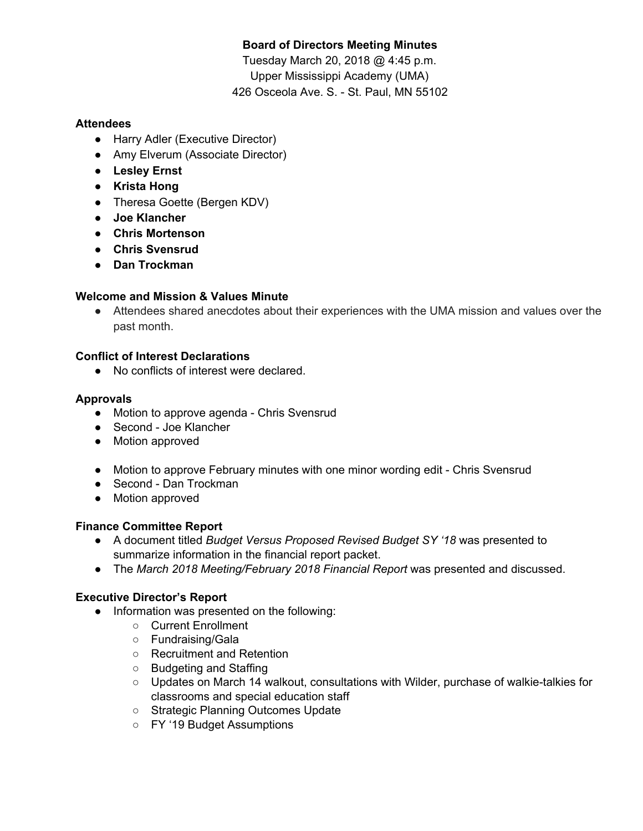# **Board of Directors Meeting Minutes**

Tuesday March 20, 2018 @ 4:45 p.m. Upper Mississippi Academy (UMA) 426 Osceola Ave. S. - St. Paul, MN 55102

## **Attendees**

- Harry Adler (Executive Director)
- Amy Elverum (Associate Director)
- **● Lesley Ernst**
- **● Krista Hong**
- Theresa Goette (Bergen KDV)
- **Joe Klancher**
- **● Chris Mortenson**
- **● Chris Svensrud**
- **● Dan Trockman**

## **Welcome and Mission & Values Minute**

● Attendees shared anecdotes about their experiences with the UMA mission and values over the past month.

## **Conflict of Interest Declarations**

● No conflicts of interest were declared.

## **Approvals**

- Motion to approve agenda Chris Svensrud
- Second Joe Klancher
- Motion approved
- Motion to approve February minutes with one minor wording edit Chris Svensrud
- Second Dan Trockman
- Motion approved

## **Finance Committee Report**

- A document titled *Budget Versus Proposed Revised Budget SY '18* was presented to summarize information in the financial report packet.
- The *March 2018 Meeting/February 2018 Financial Report* was presented and discussed.

## **Executive Director's Report**

- Information was presented on the following:
	- Current Enrollment
	- Fundraising/Gala
	- Recruitment and Retention
	- Budgeting and Staffing
	- Updates on March 14 walkout, consultations with Wilder, purchase of walkie-talkies for classrooms and special education staff
	- Strategic Planning Outcomes Update
	- FY '19 Budget Assumptions